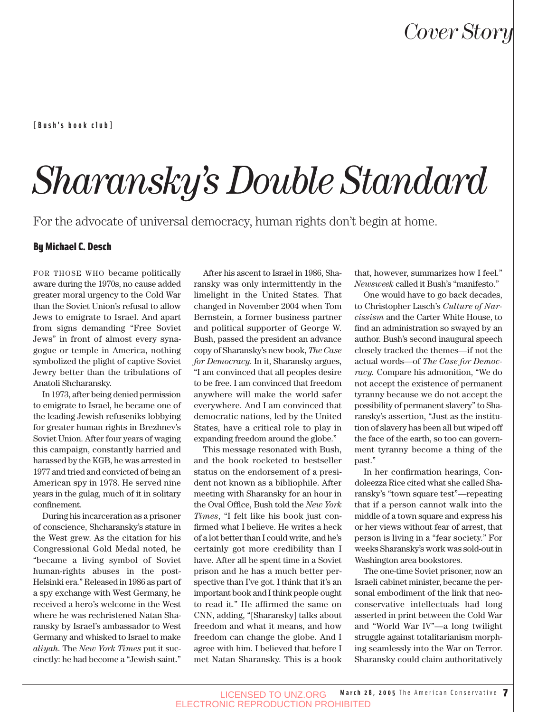**[Bush's book club]**

## *Sharansky's Double Standard*

For the advocate of universal democracy, human rights don't begin at home.

#### By Michael C. Desch

FOR THOSE WHO became politically aware during the 1970s, no cause added greater moral urgency to the Cold War than the Soviet Union's refusal to allow Jews to emigrate to Israel. And apart from signs demanding "Free Soviet Jews" in front of almost every synagogue or temple in America, nothing symbolized the plight of captive Soviet Jewry better than the tribulations of Anatoli Shcharansky.

In 1973, after being denied permission to emigrate to Israel, he became one of the leading Jewish refuseniks lobbying for greater human rights in Brezhnev's Soviet Union. After four years of waging this campaign, constantly harried and harassed by the KGB, he was arrested in 1977 and tried and convicted of being an American spy in 1978. He served nine years in the gulag, much of it in solitary confinement.

During his incarceration as a prisoner of conscience, Shcharansky's stature in the West grew. As the citation for his Congressional Gold Medal noted, he "became a living symbol of Soviet human-rights abuses in the post-Helsinki era." Released in 1986 as part of a spy exchange with West Germany, he received a hero's welcome in the West where he was rechristened Natan Sharansky by Israel's ambassador to West Germany and whisked to Israel to make *aliyah*. The *New York Times* put it succinctly: he had become a "Jewish saint."

After his ascent to Israel in 1986, Sharansky was only intermittently in the limelight in the United States. That changed in November 2004 when Tom Bernstein, a former business partner and political supporter of George W. Bush, passed the president an advance copy of Sharansky's new book, *The Case for Democracy*. In it, Sharansky argues, "I am convinced that all peoples desire to be free. I am convinced that freedom anywhere will make the world safer everywhere. And I am convinced that democratic nations, led by the United States, have a critical role to play in expanding freedom around the globe."

This message resonated with Bush, and the book rocketed to bestseller status on the endorsement of a president not known as a bibliophile. After meeting with Sharansky for an hour in the Oval Office, Bush told the *New York Times*, "I felt like his book just confirmed what I believe. He writes a heck of a lot better than I could write, and he's certainly got more credibility than I have. After all he spent time in a Soviet prison and he has a much better perspective than I've got. I think that it's an important book and I think people ought to read it." He affirmed the same on CNN, adding, "[Sharansky] talks about freedom and what it means, and how freedom can change the globe. And I agree with him. I believed that before I met Natan Sharansky. This is a book that, however, summarizes how I feel." *Newsweek* called it Bush's "manifesto."

One would have to go back decades, to Christopher Lasch's *Culture of Narcissism* and the Carter White House, to find an administration so swayed by an author. Bush's second inaugural speech closely tracked the themes—if not the actual words—of *The Case for Democracy.* Compare his admonition, "We do not accept the existence of permanent tyranny because we do not accept the possibility of permanent slavery" to Sharansky's assertion, "Just as the institution of slavery has been all but wiped off the face of the earth, so too can government tyranny become a thing of the past."

In her confirmation hearings, Condoleezza Rice cited what she called Sharansky's "town square test"—repeating that if a person cannot walk into the middle of a town square and express his or her views without fear of arrest, that person is living in a "fear society." For weeks Sharansky's work was sold-out in Washington area bookstores.

The one-time Soviet prisoner, now an Israeli cabinet minister, became the personal embodiment of the link that neoconservative intellectuals had long asserted in print between the Cold War and "World War IV"—a long twilight struggle against totalitarianism morphing seamlessly into the War on Terror. Sharansky could claim authoritatively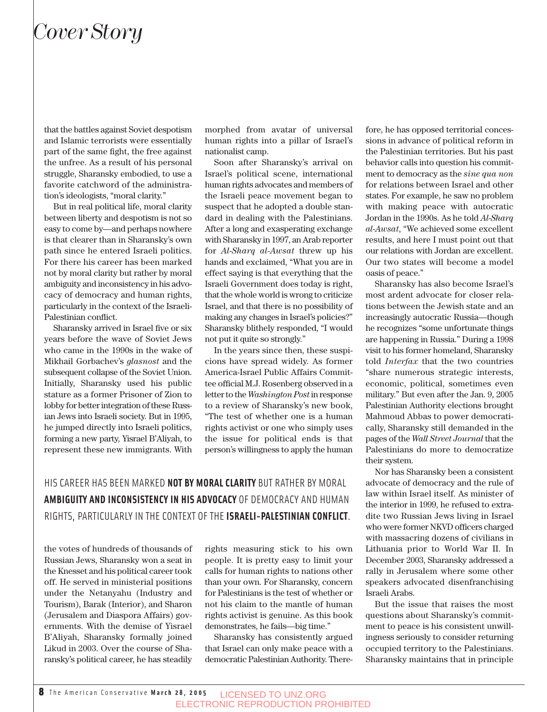## *Cover Story*

that the battles against Soviet despotism and Islamic terrorists were essentially part of the same fight, the free against the unfree. As a result of his personal struggle, Sharansky embodied, to use a favorite catchword of the administration's ideologists, "moral clarity."

But in real political life, moral clarity between liberty and despotism is not so easy to come by—and perhaps nowhere is that clearer than in Sharansky's own path since he entered Israeli politics. For there his career has been marked not by moral clarity but rather by moral ambiguity and inconsistency in his advocacy of democracy and human rights, particularly in the context of the Israeli-Palestinian conflict.

Sharansky arrived in Israel five or six years before the wave of Soviet Jews who came in the 1990s in the wake of Mikhail Gorbachev's *glasnost* and the subsequent collapse of the Soviet Union. Initially, Sharansky used his public stature as a former Prisoner of Zion to lobby for better integration of these Russian Jews into Israeli society. But in 1995, he jumped directly into Israeli politics, forming a new party, Yisrael B'Aliyah, to represent these new immigrants. With

morphed from avatar of universal human rights into a pillar of Israel's nationalist camp.

Soon after Sharansky's arrival on Israel's political scene, international human rights advocates and members of the Israeli peace movement began to suspect that he adopted a double standard in dealing with the Palestinians. After a long and exasperating exchange with Sharansky in 1997, an Arab reporter for *Al*-*Sharq al*-*Awsat* threw up his hands and exclaimed, "What you are in effect saying is that everything that the Israeli Government does today is right, that the whole world is wrong to criticize Israel, and that there is no possibility of making any changes in Israel's policies?" Sharansky blithely responded, "I would not put it quite so strongly."

In the years since then, these suspicions have spread widely. As former America-Israel Public Affairs Committee official M.J. Rosenberg observed in a letter to the *Washington Post*in response to a review of Sharansky's new book, "The test of whether one is a human rights activist or one who simply uses the issue for political ends is that person's willingness to apply the human

HIS CAREER HAS BEEN MARKED **NOT BY MORAL CLARITY** BUT RATHER BY MORAL **AMBIGUITY AND INCONSISTENCY IN HIS ADVOCACY** OF DEMOCRACY AND HUMAN RIGHTS, PARTICULARLY IN THE CONTEXT OF THE **ISRAELI-PALESTINIAN CONFLICT**.

the votes of hundreds of thousands of Russian Jews, Sharansky won a seat in the Knesset and his political career took off. He served in ministerial positions under the Netanyahu (Industry and Tourism), Barak (Interior), and Sharon (Jerusalem and Diaspora Affairs) governments. With the demise of Yisrael B'Aliyah, Sharansky formally joined Likud in 2003. Over the course of Sharansky's political career, he has steadily

rights measuring stick to his own people. It is pretty easy to limit your calls for human rights to nations other than your own. For Sharansky, concern for Palestinians is the test of whether or not his claim to the mantle of human rights activist is genuine. As this book demonstrates, he fails—big time."

Sharansky has consistently argued that Israel can only make peace with a democratic Palestinian Authority. Therefore, he has opposed territorial concessions in advance of political reform in the Palestinian territories. But his past behavior calls into question his commitment to democracy as the *sine qua non* for relations between Israel and other states. For example, he saw no problem with making peace with autocratic Jordan in the 1990s. As he told *Al*-*Sharq al*-*Awsat*, "We achieved some excellent results, and here I must point out that our relations with Jordan are excellent. Our two states will become a model oasis of peace."

Sharansky has also become Israel's most ardent advocate for closer relations between the Jewish state and an increasingly autocratic Russia—though he recognizes "some unfortunate things are happening in Russia." During a 1998 visit to his former homeland, Sharansky told *Interfax* that the two countries "share numerous strategic interests, economic, political, sometimes even military." But even after the Jan. 9, 2005 Palestinian Authority elections brought Mahmoud Abbas to power democratically, Sharansky still demanded in the pages of the *Wall Street Journal* that the Palestinians do more to democratize their system.

Nor has Sharansky been a consistent advocate of democracy and the rule of law within Israel itself. As minister of the interior in 1999, he refused to extradite two Russian Jews living in Israel who were former NKVD officers charged with massacring dozens of civilians in Lithuania prior to World War II. In December 2003, Sharansky addressed a rally in Jerusalem where some other speakers advocated disenfranchising Israeli Arabs.

But the issue that raises the most questions about Sharansky's commitment to peace is his consistent unwillingness seriously to consider returning occupied territory to the Palestinians. Sharansky maintains that in principle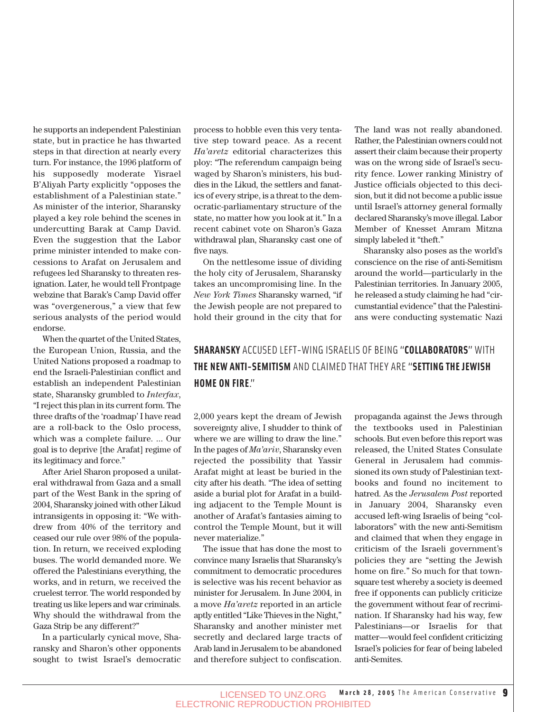he supports an independent Palestinian state, but in practice he has thwarted steps in that direction at nearly every turn. For instance, the 1996 platform of his supposedly moderate Yisrael B'Aliyah Party explicitly "opposes the establishment of a Palestinian state." As minister of the interior, Sharansky played a key role behind the scenes in undercutting Barak at Camp David. Even the suggestion that the Labor prime minister intended to make concessions to Arafat on Jerusalem and refugees led Sharansky to threaten resignation. Later, he would tell Frontpage webzine that Barak's Camp David offer was "overgenerous," a view that few serious analysts of the period would endorse.

When the quartet of the United States, the European Union, Russia, and the United Nations proposed a roadmap to end the Israeli-Palestinian conflict and establish an independent Palestinian state, Sharansky grumbled to *Interfax*, "I reject this plan in its current form. The three drafts of the 'roadmap' I have read are a roll-back to the Oslo process, which was a complete failure. ... Our goal is to deprive [the Arafat] regime of its legitimacy and force."

After Ariel Sharon proposed a unilateral withdrawal from Gaza and a small part of the West Bank in the spring of 2004, Sharansky joined with other Likud intransigents in opposing it: "We withdrew from 40% of the territory and ceased our rule over 98% of the population. In return, we received exploding buses. The world demanded more. We offered the Palestinians everything, the works, and in return, we received the cruelest terror. The world responded by treating us like lepers and war criminals. Why should the withdrawal from the Gaza Strip be any different?"

In a particularly cynical move, Sharansky and Sharon's other opponents sought to twist Israel's democratic process to hobble even this very tentative step toward peace. As a recent *Ha'aretz* editorial characterizes this ploy: "The referendum campaign being waged by Sharon's ministers, his buddies in the Likud, the settlers and fanatics of every stripe, is a threat to the democratic-parliamentary structure of the state, no matter how you look at it." In a recent cabinet vote on Sharon's Gaza withdrawal plan, Sharansky cast one of five nays.

On the nettlesome issue of dividing the holy city of Jerusalem, Sharansky takes an uncompromising line. In the *New York Times* Sharansky warned, "if the Jewish people are not prepared to hold their ground in the city that for The land was not really abandoned. Rather, the Palestinian owners could not assert their claim because their property was on the wrong side of Israel's security fence. Lower ranking Ministry of Justice officials objected to this decision, but it did not become a public issue until Israel's attorney general formally declared Sharansky's move illegal. Labor Member of Knesset Amram Mitzna simply labeled it "theft."

Sharansky also poses as the world's conscience on the rise of anti-Semitism around the world—particularly in the Palestinian territories. In January 2005, he released a study claiming he had "circumstantial evidence" that the Palestinians were conducting systematic Nazi

### **SHARANSKY** ACCUSED LEFT-WING ISRAELIS OF BEING "**COLLABORATORS**" WITH **THE NEW ANTI-SEMITISM** AND CLAIMED THAT THEY ARE "**SETTING THE JEWISH HOME ON FIRE**."

2,000 years kept the dream of Jewish sovereignty alive, I shudder to think of where we are willing to draw the line." In the pages of *Ma'ariv*, Sharansky even rejected the possibility that Yassir Arafat might at least be buried in the city after his death. "The idea of setting aside a burial plot for Arafat in a building adjacent to the Temple Mount is another of Arafat's fantasies aiming to control the Temple Mount, but it will never materialize."

The issue that has done the most to convince many Israelis that Sharansky's commitment to democratic procedures is selective was his recent behavior as minister for Jerusalem. In June 2004, in a move *Ha'aretz* reported in an article aptly entitled "Like Thieves in the Night," Sharansky and another minister met secretly and declared large tracts of Arab land in Jerusalem to be abandoned and therefore subject to confiscation. propaganda against the Jews through the textbooks used in Palestinian schools. But even before this report was released, the United States Consulate General in Jerusalem had commissioned its own study of Palestinian textbooks and found no incitement to hatred. As the *Jerusalem Post* reported in January 2004, Sharansky even accused left-wing Israelis of being "collaborators" with the new anti-Semitism and claimed that when they engage in criticism of the Israeli government's policies they are "setting the Jewish home on fire." So much for that townsquare test whereby a society is deemed free if opponents can publicly criticize the government without fear of recrimination. If Sharansky had his way, few Palestinians—or Israelis for that matter—would feel confident criticizing Israel's policies for fear of being labeled anti-Semites.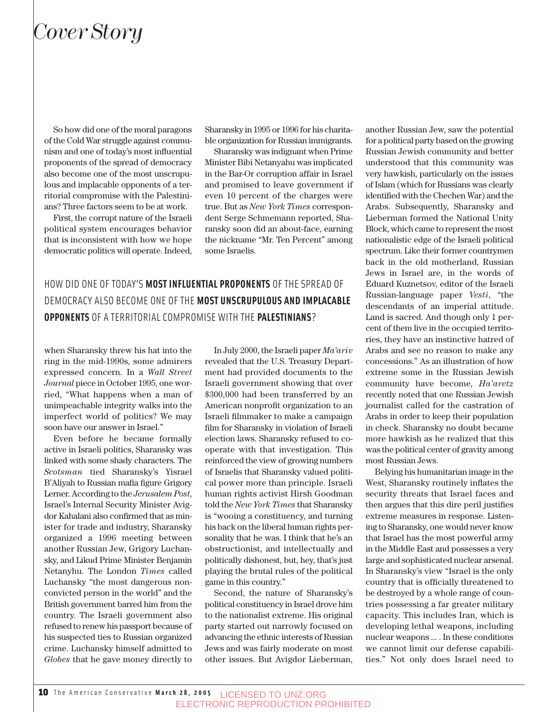## *Cover Story*

So how did one of the moral paragons of the Cold War struggle against communism and one of today's most influential proponents of the spread of democracy also become one of the most unscrupulous and implacable opponents of a territorial compromise with the Palestinians? Three factors seem to be at work.

First, the corrupt nature of the Israeli political system encourages behavior that is inconsistent with how we hope democratic politics will operate. Indeed,

Sharansky in 1995 or 1996 for his charitable organization for Russian immigrants.

Sharansky was indignant when Prime Minister Bibi Netanyahu was implicated in the Bar-Or corruption affair in Israel and promised to leave government if even 10 percent of the charges were true. But as *New York Times* correspondent Serge Schmemann reported, Sharansky soon did an about-face, earning the nickname "Mr. Ten Percent" among some Israelis.

HOW DID ONE OF TODAY'S **MOST INFLUENTIAL PROPONENTS** OF THE SPREAD OF DEMOCRACY ALSO BECOME ONE OF THE **MOST UNSCRUPULOUS AND IMPLACABLE OPPONENTS** OF A TERRITORIAL COMPROMISE WITH THE **PALESTINIANS**?

when Sharansky threw his hat into the ring in the mid-1990s, some admirers expressed concern. In a *Wall Street Journal* piece in October 1995, one worried, "What happens when a man of unimpeachable integrity walks into the imperfect world of politics? We may soon have our answer in Israel."

Even before he became formally active in Israeli politics, Sharansky was linked with some shady characters. The *Scotsman* tied Sharansky's Yisrael B'Aliyah to Russian mafia figure Grigory Lerner. According to the *Jerusalem Post*, Israel's Internal Security Minister Avigdor Kahalani also confirmed that as minister for trade and industry, Sharansky organized a 1996 meeting between another Russian Jew, Grigory Luchansky, and Likud Prime Minister Benjamin Netanyhu. The London *Times* called Luchansky "the most dangerous nonconvicted person in the world" and the British government barred him from the country. The Israeli government also refused to renew his passport because of his suspected ties to Russian organized crime. Luchansky himself admitted to *Globes* that he gave money directly to

In July 2000, the Israeli paper *Ma'ariv* revealed that the U.S. Treasury Department had provided documents to the Israeli government showing that over \$300,000 had been transferred by an American nonprofit organization to an Israeli filmmaker to make a campaign film for Sharansky in violation of Israeli election laws. Sharansky refused to cooperate with that investigation. This reinforced the view of growing numbers of Israelis that Sharansky valued political power more than principle. Israeli human rights activist Hirsh Goodman told the *New York Times* that Sharansky is "wooing a constituency, and turning his back on the liberal human rights personality that he was. I think that he's an obstructionist, and intellectually and politically dishonest, but, hey, that's just playing the brutal rules of the political game in this country."

Second, the nature of Sharansky's political constituency in Israel drove him to the nationalist extreme. His original party started out narrowly focused on advancing the ethnic interests of Russian Jews and was fairly moderate on most other issues. But Avigdor Lieberman, another Russian Jew, saw the potential for a political party based on the growing Russian Jewish community and better understood that this community was very hawkish, particularly on the issues of Islam (which for Russians was clearly identified with the Chechen War) and the Arabs. Subsequently, Sharansky and Lieberman formed the National Unity Block, which came to represent the most nationalistic edge of the Israeli political spectrum. Like their former countrymen back in the old motherland, Russian Jews in Israel are, in the words of Eduard Kuznetsov, editor of the Israeli Russian-language paper *Vesti*, "the descendants of an imperial attitude. Land is sacred. And though only 1 percent of them live in the occupied territories, they have an instinctive hatred of Arabs and see no reason to make any concessions." As an illustration of how extreme some in the Russian Jewish community have become, *Ha'aretz* recently noted that one Russian Jewish journalist called for the castration of Arabs in order to keep their population in check. Sharansky no doubt became more hawkish as he realized that this was the political center of gravity among most Russian Jews.

Belying his humanitarian image in the West, Sharansky routinely inflates the security threats that Israel faces and then argues that this dire peril justifies extreme measures in response. Listening to Sharansky, one would never know that Israel has the most powerful army in the Middle East and possesses a very large and sophisticated nuclear arsenal. In Sharansky's view "Israel is the only country that is officially threatened to be destroyed by a whole range of countries possessing a far greater military capacity. This includes Iran, which is developing lethal weapons, including nuclear weapons ... . In these conditions we cannot limit our defense capabilities." Not only does Israel need to